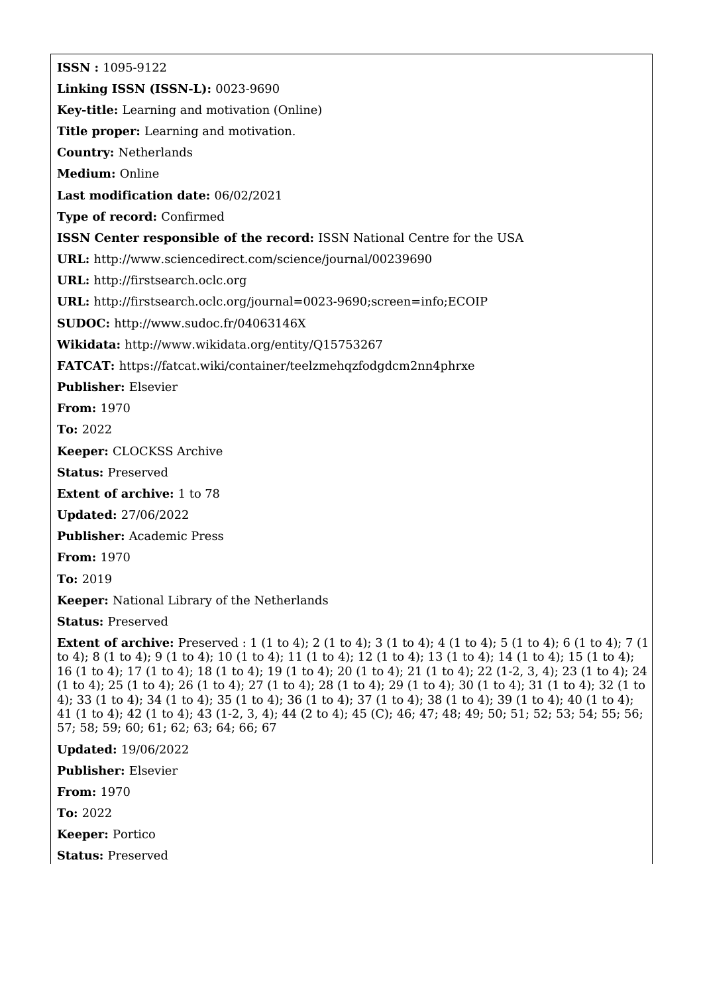**ISSN :** 1095-9122 **Linking ISSN (ISSN-L):** 0023-9690 **Key-title:** Learning and motivation (Online) **Title proper:** Learning and motivation. **Country:** Netherlands **Medium:** Online **Last modification date:** 06/02/2021 **Type of record:** Confirmed **ISSN Center responsible of the record:** ISSN National Centre for the USA **URL:** <http://www.sciencedirect.com/science/journal/00239690> **URL:** <http://firstsearch.oclc.org> **URL:** <http://firstsearch.oclc.org/journal=0023-9690;screen=info;ECOIP> **SUDOC:** <http://www.sudoc.fr/04063146X> **Wikidata:** <http://www.wikidata.org/entity/Q15753267> **FATCAT:** <https://fatcat.wiki/container/teelzmehqzfodgdcm2nn4phrxe> **Publisher:** Elsevier **From:** 1970 **To:** 2022 **Keeper:** CLOCKSS Archive **Status:** Preserved **Extent of archive:** 1 to 78 **Updated:** 27/06/2022 **Publisher:** Academic Press **From:** 1970 **To:** 2019 **Keeper:** National Library of the Netherlands **Status:** Preserved **Extent of archive:** Preserved : 1 (1 to 4); 2 (1 to 4); 3 (1 to 4); 4 (1 to 4); 5 (1 to 4); 6 (1 to 4); 7 (1 to 4); 8 (1 to 4); 9 (1 to 4); 10 (1 to 4); 11 (1 to 4); 12 (1 to 4); 13 (1 to 4); 14 (1 to 4); 15 (1 to 4); 16 (1 to 4); 17 (1 to 4); 18 (1 to 4); 19 (1 to 4); 20 (1 to 4); 21 (1 to 4); 22 (1-2, 3, 4); 23 (1 to 4); 24 (1 to 4); 25 (1 to 4); 26 (1 to 4); 27 (1 to 4); 28 (1 to 4); 29 (1 to 4); 30 (1 to 4); 31 (1 to 4); 32 (1 to 4); 33 (1 to 4); 34 (1 to 4); 35 (1 to 4); 36 (1 to 4); 37 (1 to 4); 38 (1 to 4); 39 (1 to 4); 40 (1 to 4);

41 (1 to 4); 42 (1 to 4); 43 (1-2, 3, 4); 44 (2 to 4); 45 (C); 46; 47; 48; 49; 50; 51; 52; 53; 54; 55; 56; 57; 58; 59; 60; 61; 62; 63; 64; 66; 67

**Updated:** 19/06/2022

**Publisher:** Elsevier

**From:** 1970

**To:** 2022

**Keeper:** Portico

**Status:** Preserved